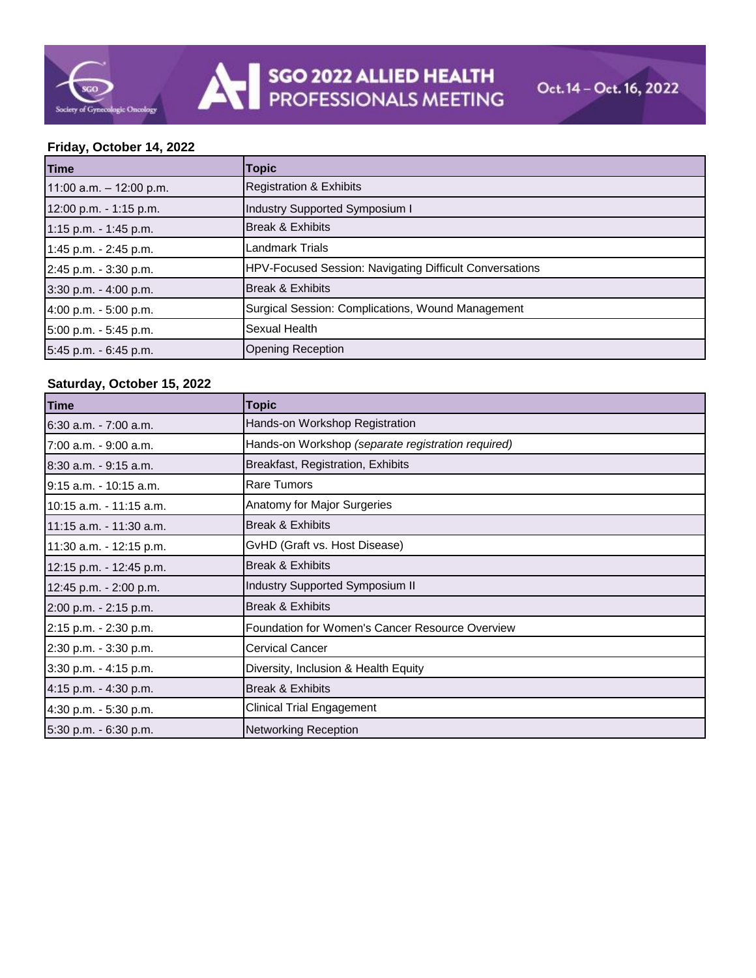## **Friday, October 14, 2022**

| <b>Time</b>               | <b>Topic</b>                                            |
|---------------------------|---------------------------------------------------------|
| 11:00 a.m. $-$ 12:00 p.m. | <b>Registration &amp; Exhibits</b>                      |
| 12:00 p.m. - 1:15 p.m.    | Industry Supported Symposium I                          |
| 1:15 p.m. - 1:45 p.m.     | <b>Break &amp; Exhibits</b>                             |
| 1:45 p.m. - 2:45 p.m.     | <b>Landmark Trials</b>                                  |
| 2:45 p.m. - 3:30 p.m.     | HPV-Focused Session: Navigating Difficult Conversations |
| 3:30 p.m. - 4:00 p.m.     | <b>Break &amp; Exhibits</b>                             |
| 4:00 p.m. - 5:00 p.m.     | Surgical Session: Complications, Wound Management       |
| 5:00 p.m. - 5:45 p.m.     | Sexual Health                                           |
| 5:45 p.m. - 6:45 p.m.     | <b>Opening Reception</b>                                |

## **Saturday, October 15, 2022**

| Time                     | <b>Topic</b>                                       |
|--------------------------|----------------------------------------------------|
| 6:30 a.m. - 7:00 a.m.    | Hands-on Workshop Registration                     |
| l7:00 a.m. - 9:00 a.m.   | Hands-on Workshop (separate registration required) |
| $8:30$ a.m. $-9:15$ a.m. | Breakfast, Registration, Exhibits                  |
| 19:15 a.m. - 10:15 a.m.  | Rare Tumors                                        |
| 10:15 a.m. - 11:15 a.m.  | Anatomy for Major Surgeries                        |
| 11:15 a.m. - 11:30 a.m.  | Break & Exhibits                                   |
| 11:30 a.m. - 12:15 p.m.  | GvHD (Graft vs. Host Disease)                      |
| 12:15 p.m. - 12:45 p.m.  | Break & Exhibits                                   |
| 12:45 p.m. - 2:00 p.m.   | Industry Supported Symposium II                    |
| 2:00 p.m. - 2:15 p.m.    | Break & Exhibits                                   |
| 2:15 p.m. - 2:30 p.m.    | Foundation for Women's Cancer Resource Overview    |
| 2:30 p.m. - 3:30 p.m.    | <b>Cervical Cancer</b>                             |
| 3:30 p.m. - 4:15 p.m.    | Diversity, Inclusion & Health Equity               |
| 4:15 p.m. - 4:30 p.m.    | <b>Break &amp; Exhibits</b>                        |
| 4:30 p.m. - 5:30 p.m.    | <b>Clinical Trial Engagement</b>                   |
| 5:30 p.m. - 6:30 p.m.    | <b>Networking Reception</b>                        |